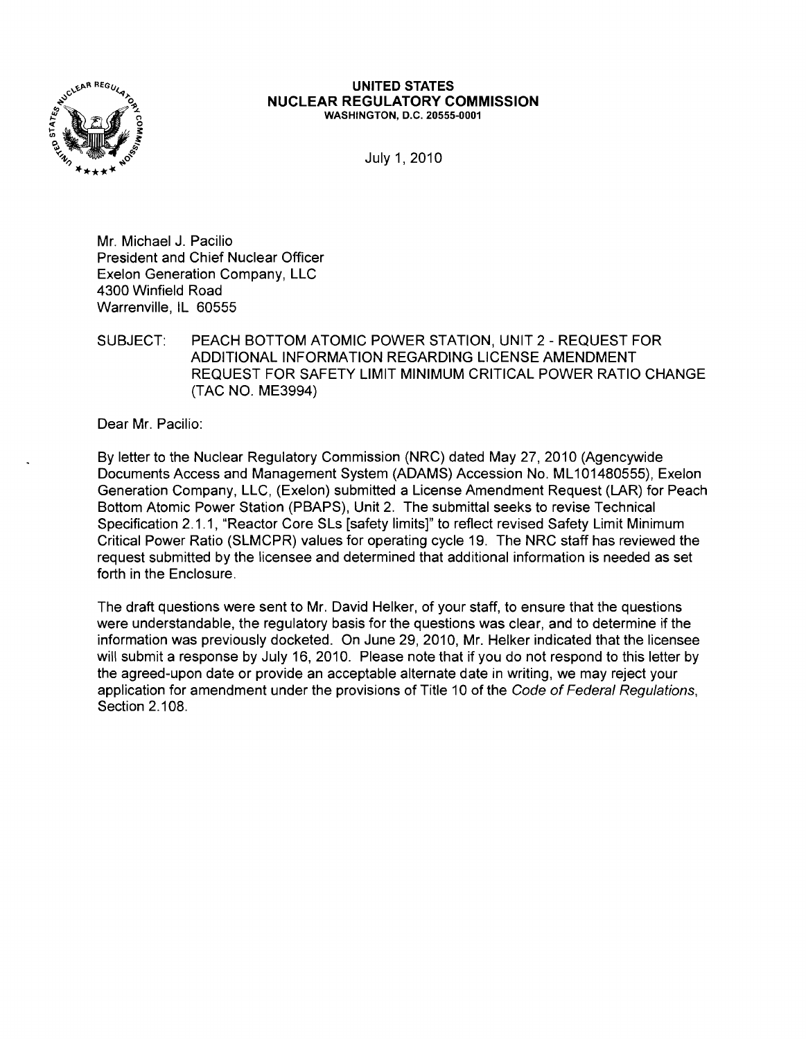

#### **UNITED STATES NUCLEAR REGULATORY COMMISSION** WASHINGTON, D.C. 20555-0001

July 1,2010

Mr. Michael J. Pacilio President and Chief Nuclear Officer Exelon Generation Company, LLC 4300 Winfield Road Warrenville, IL 60555

SUBJECT: PEACH BOTTOM ATOMIC POWER STATION, UNIT 2 - REQUEST FOR ADDITIONAL INFORMATION REGARDING LICENSE AMENDMENT REQUEST FOR SAFETY LIMIT MINIMUM CRITICAL POWER RATIO CHANGE (TAC NO. ME3994)

Dear Mr. Pacilio:

By letter to the Nuclear Regulatory Commission (NRC) dated May 27, 2010 (Agencywide Documents Access and Management System (ADAMS) Accession No. ML101480555), Exelon Generation Company, LLC, (Exelon) submitted a License Amendment Request (LAR) for Peach Bottom Atomic Power Station (PBAPS), Unit 2. The submittal seeks to revise Technical Specification 2.1.1, "Reactor Core SLs [safety limits]" to reflect revised Safety Limit Minimum Critical Power Ratio (SLMCPR) values for operating cycle 19. The NRC staff has reviewed the request submitted by the licensee and determined that additional information is needed as set forth in the Enclosure.

The draft questions were sent to Mr. David Helker, of your staff, to ensure that the questions were understandable, the regulatory basis for the questions was clear, and to determine if the information was previously docketed. On June 29, 2010, Mr. Helker indicated that the licensee will submit a response by July 16, 2010. Please note that if you do not respond to this letter by the agreed-upon date or provide an acceptable alternate date in writing, we may reject your application for amendment under the provisions of Title 10 of the Code of Federal Regulations, Section 2.108.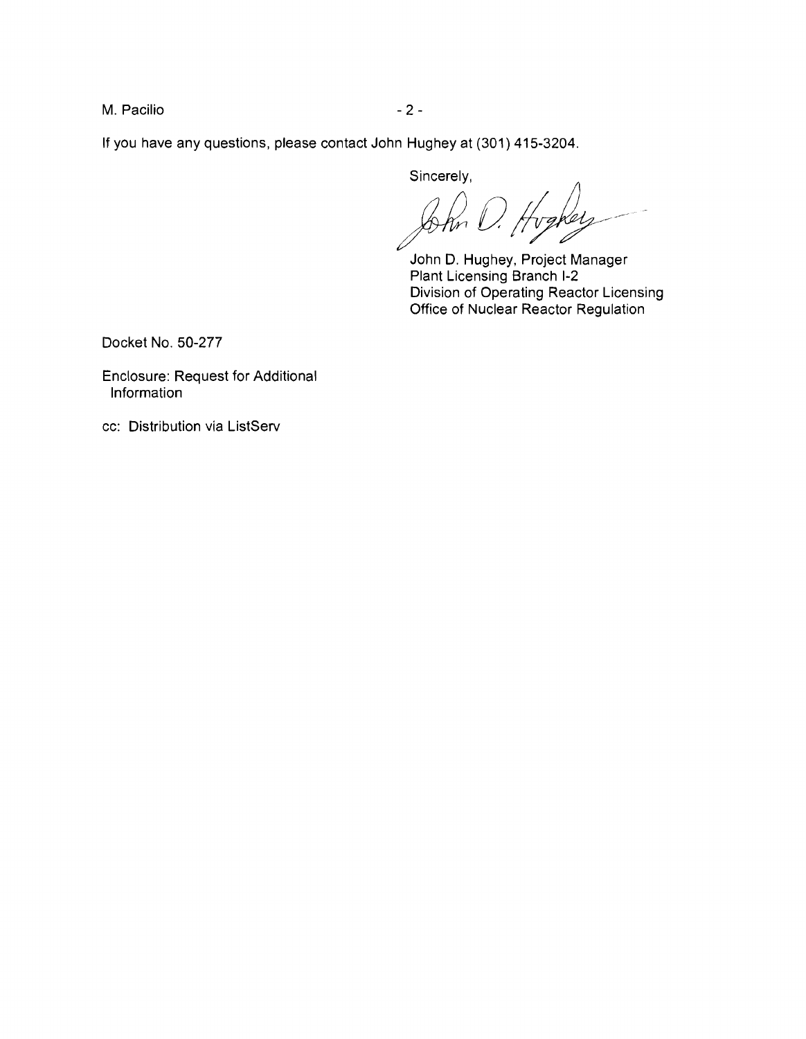M. Pacilio  $-2$  -

If you have any questions, please contact John Hughey at (301) 415-3204.

Sincerely,

vakel -hn

John D. Hughey, Project Manager Plant Licensing Branch 1-2 Division of Operating Reactor Licensing Office of Nuclear Reactor Regulation

Docket No. 50-277

Enclosure: Request for Additional Information

cc: Distribution via ListServ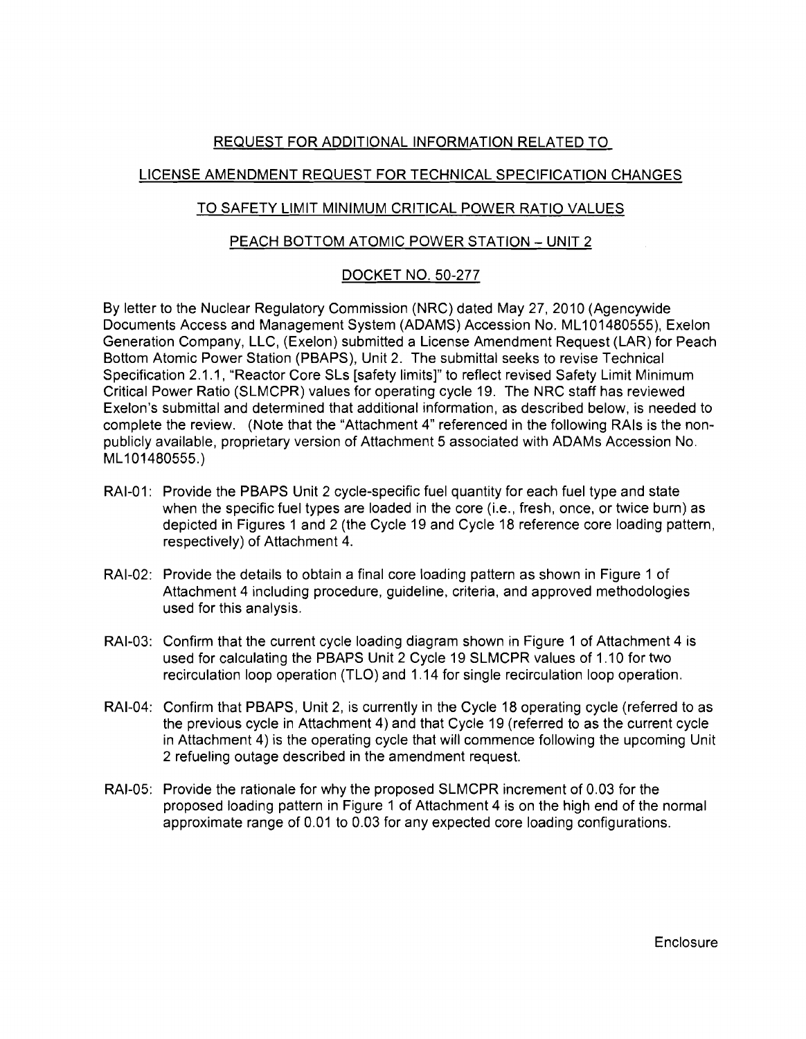# REQUEST FOR ADDITIONAL INFORMATION RELATED TO

### LICENSE AMENDMENT REQUEST FOR TECHNICAL SPECIFICATION CHANGES

## TO SAFETY LIMIT MINIMUM CRITICAL POWER RATIO VALUES

### PEACH BOTTOM ATOMIC POWER STATION - UNIT 2

# DOCKET NO. 50-277

By letter to the Nuclear Regulatory Commission (NRC) dated May 27,2010 (Agencywide Documents Access and Management System (ADAMS) Accession No. ML101480555), Exelon Generation Company, LLC, (Exelon) submitted a License Amendment Request (LAR) for Peach Bottom Atomic Power Station (PBAPS), Unit 2. The submittal seeks to revise Technical Specification 2.1.1, "Reactor Core SLs [safety limits]" to reflect revised Safety Limit Minimum Critical Power Ratio (SLMCPR) values for operating cycle 19. The NRC staff has reviewed Exelon's submittal and determined that additional information, as described below, is needed to complete the review. (Note that the "Attachment 4" referenced in the following RAls is the nonpublicly available, proprietary version of Attachment 5 associated with ADAMs Accession No. ML101480555.)

- RAI-01: Provide the PBAPS Unit 2 cycle-specific fuel quantity for each fuel type and state when the specific fuel types are loaded in the core (i.e., fresh, once, or twice burn) as depicted in Figures 1 and 2 (the Cycle 19 and Cycle 18 reference core loading pattern, respectively) of Attachment 4.
- RAI-02: Provide the details to obtain a final core loading pattern as shown in Figure 1 of Attachment 4 including procedure, guideline, criteria, and approved methodologies used for this analysis.
- RAI-03: Confirm that the current cycle loading diagram shown in Figure 1 of Attachment 4 is used for calculating the PBAPS Unit 2 Cycle 19 SLMCPR values of 1.10 for two recirculation loop operation (TLO) and 1.14 for single recirculation loop operation.
- RAI-04: Confirm that PBAPS, Unit 2, is currently in the Cycle 18 operating cycle (referred to as the previous cycle in Attachment 4) and that Cycle 19 (referred to as the current cycle in Attachment 4) is the operating cycle that will commence following the upcoming Unit 2 refueling outage described in the amendment request.
- RAI-05: Provide the rationale for why the proposed SLMCPR increment of 0.03 for the proposed loading pattern in Figure 1 of Attachment 4 is on the high end of the normal approximate range of 0.01 to 0.03 for any expected core loading configurations.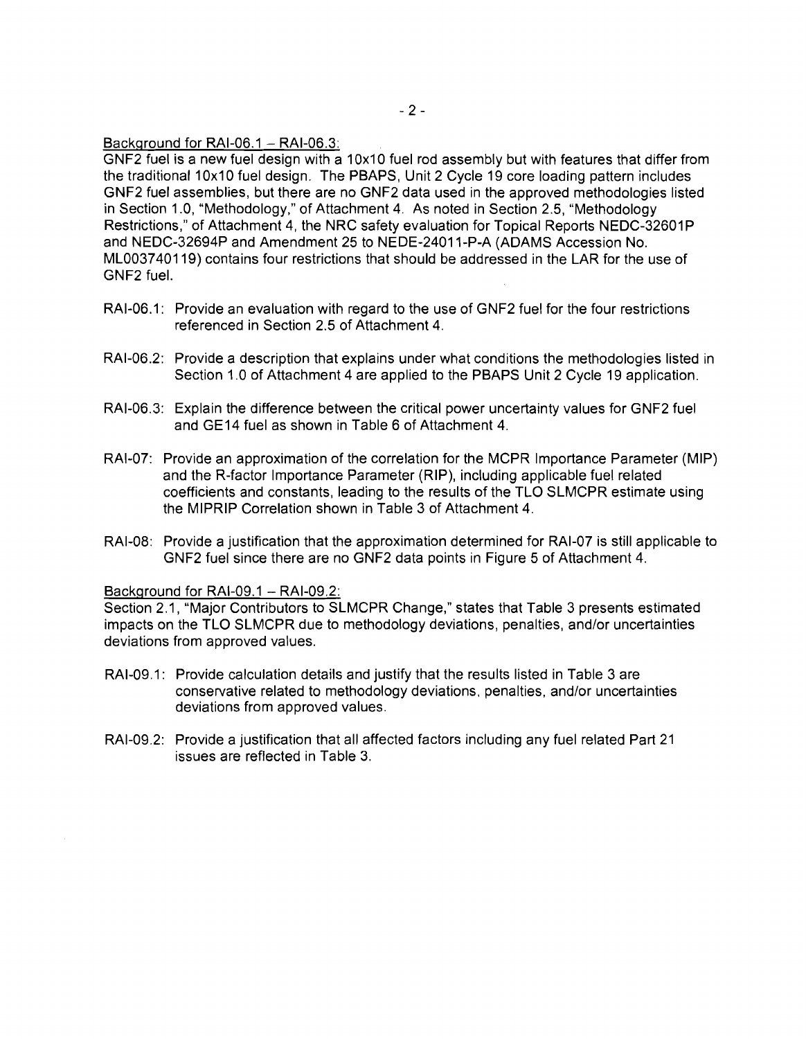Background for RAI-06.1  $-$  RAI-06.3:

GNF2 fuel is a new fuel design with a 10x10 fuel rod assembly but with features that differ from the traditional 10x10 fuel design. The PBAPS, Unit 2 Cycle 19 core loading pattern includes GNF2 fuel assemblies, but there are no GNF2 data used in the approved methodologies listed in Section 1.0, "Methodology," of Attachment 4. As noted in Section 2.5, "Methodology Restrictions," of Attachment 4, the NRC safety evaluation for Topical Reports NEDC-32601P and NEDC-32694P and Amendment 25 to NEDE-24011-P-A (ADAMS Accession No. ML003?40119) contains four restrictions that should be addressed in the LAR for the use of GNF2 fuel.

- RAI-06.1: Provide an evaluation with regard to the use of GNF2 fuel for the four restrictions referenced in Section 2.5 of Attachment 4.
- RAI-06.2: Provide a description that explains under what conditions the methodologies listed in Section 1.0 of Attachment 4 are applied to the PBAPS Unit 2 Cycle 19 application.
- RAI-06.3: Explain the difference between the critical power uncertainty values for GNF2 fuel and GE14 fuel as shown in Table 6 of Attachment 4.
- RAI-07: Provide an approximation of the correlation for the MCPR Importance Parameter (MIP) and the R-factor Importance Parameter (RIP), including applicable fuel related coefficients and constants, leading to the results of the TLO SLMCPR estimate using the MIPRIP Correlation shown in Table 3 of Attachment 4.
- RAI-08: Provide a justification that the approximation determined for RAI-07 is still applicable to GNF2 fuel since there are no GNF2 data points in Figure 5 of Attachment 4.

#### Background for RAI-09.1 - RAI-09.2:

Section 2.1, "Major Contributors to SLMCPR Change," states that Table 3 presents estimated impacts on the TLO SLMCPR due to methodology deviations, penalties, and/or uncertainties deviations from approved values.

- RAI-09.1: Provide calculation details and justify that the results listed in Table 3 are conservative related to methodology deviations, penalties, and/or uncertainties deviations from approved values.
- RAI-09.2: Provide a justification that all affected factors including any fuel related Part 21 issues are reflected in Table 3.